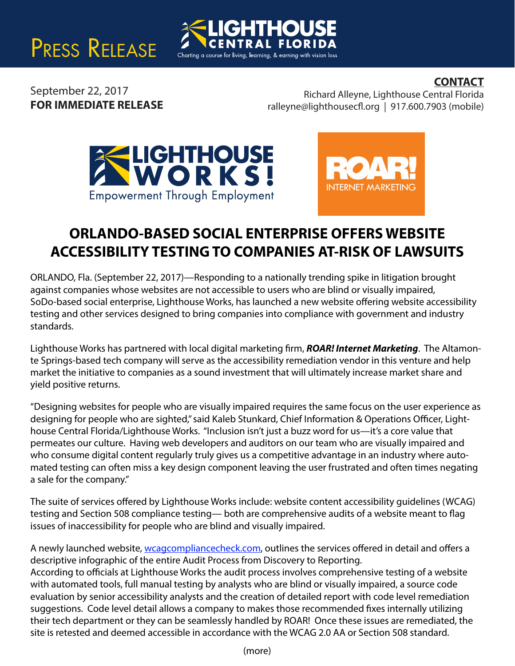



## **CONTACT**

September 22, 2017 **FOR IMMEDIATE RELEASE**

Richard Alleyne, Lighthouse Central Florida  $ralleyne@lighthousecfl.org | 917.600.7903 (mobile)$ 





## **ORLANDO-BASED SOCIAL ENTERPRISE OFFERS WEBSITE ACCESSIBILITY TESTING TO COMPANIES AT-RISK OF LAWSUITS**

ORLANDO, Fla. (September 22, 2017)—Responding to a nationally trending spike in litigation brought against companies whose websites are not accessible to users who are blind or visually impaired, SoDo-based social enterprise, Lighthouse Works, has launched a new website offering website accessibility testing and other services designed to bring companies into compliance with government and industry standards.

Lighthouse Works has partnered with local digital marketing firm, *ROAR! Internet Marketing*. The Altamonte Springs-based tech company will serve as the accessibility remediation vendor in this venture and help market the initiative to companies as a sound investment that will ultimately increase market share and yield positive returns.

"Designing websites for people who are visually impaired requires the same focus on the user experience as designing for people who are sighted," said Kaleb Stunkard, Chief Information & Operations Officer, Lighthouse Central Florida/Lighthouse Works. "Inclusion isn't just a buzz word for us—it's a core value that permeates our culture. Having web developers and auditors on our team who are visually impaired and who consume digital content regularly truly gives us a competitive advantage in an industry where automated testing can often miss a key design component leaving the user frustrated and often times negating a sale for the company."

The suite of services offered by Lighthouse Works include: website content accessibility quidelines (WCAG) testing and Section 508 compliance testing— both are comprehensive audits of a website meant to flag issues of inaccessibility for people who are blind and visually impaired.

A newly launched website, wcagcompliancecheck.com, outlines the services offered in detail and offers a descriptive infographic of the entire Audit Process from Discovery to Reporting.

According to officials at Lighthouse Works the audit process involves comprehensive testing of a website with automated tools, full manual testing by analysts who are blind or visually impaired, a source code evaluation by senior accessibility analysts and the creation of detailed report with code level remediation suggestions. Code level detail allows a company to makes those recommended fixes internally utilizing their tech department or they can be seamlessly handled by ROAR! Once these issues are remediated, the site is retested and deemed accessible in accordance with the WCAG 2.0 AA or Section 508 standard.